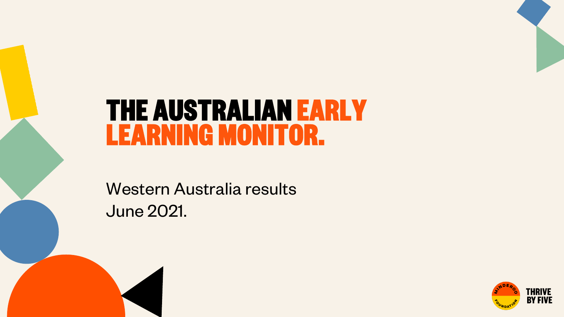# **THE AUSTRALIAN EARLY LEARNING MONITOR.**

Western Australia results June 2021.

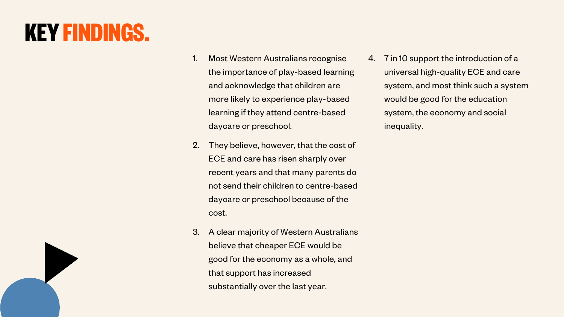# **KEY FINDINGS.**

- 1. Most Western Australians recognise the importance of play-based learning and acknowledge that children are more likely to experience play-based learning if they attend centre-based daycare or preschool.
- 2. They believe, however, that the cost of ECE and care has risen sharply over recent years and that many parents do not send their children to centre-based daycare or preschool because of the cost.
- 3. A clear majority of Western Australians believe that cheaper ECE would be good for the economy as a whole, and that support has increased substantially over the last year.

4. 7 in 10 support the introduction of a universal high-quality ECE and care system, and most think such a system would be good for the education system, the economy and social inequality.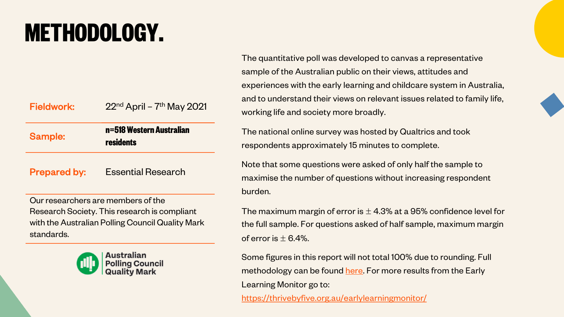# **METHODOLOGY.**

Fieldwork:  $22<sup>nd</sup>$  April – 7<sup>th</sup> May 2021

Sample: **n=518 Western Australian residents**

Prepared by: Essential Research

Our researchers are members of the Research Society. This research is compliant with the Australian Polling Council Quality Mark standards.



The quantitative poll was devel sample of the Australian public experiences with the early learning and to understand their views on working life and society more b

The national online survey was respondents approximately 15

Note that some questions were maximise the number of questions burden.

The maximum margin of error i the full sample. For questions a of error is  $\pm$  6.4%.

Some figures in this report will no methodology can be found here Learning Monitor go to: https://thrivebyfive.org.au/early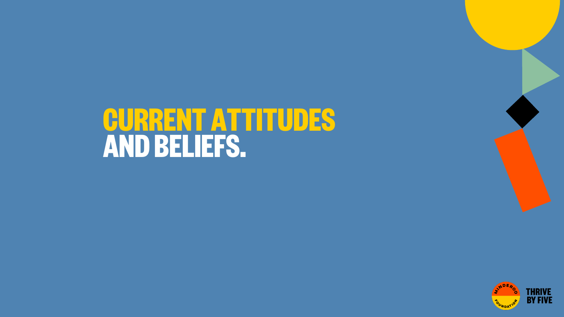# **CURRENT ATTITUDES AND BELIEFS.**

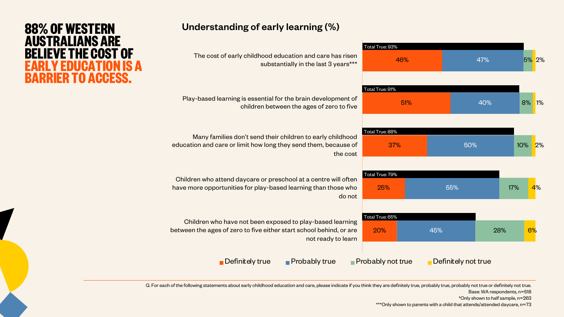#### Understanding of early learning (%)

| The cost of early childhood education and care has risen<br>substantially in the last 3 years***                                                       | Total True: 93%<br>46%           |                     | 47% | 5% 2% |    |
|--------------------------------------------------------------------------------------------------------------------------------------------------------|----------------------------------|---------------------|-----|-------|----|
| Play-based learning is essential for the brain development of<br>children between the ages of zero to five                                             | Total True: 91%<br>51%           |                     | 40% | 8%    | 1% |
| Many families don't send their children to early childhood<br>education and care or limit how long they send them, because of<br>the cost              | Total True: 88%<br>37%           | 50%                 |     | 10%   | 2% |
| Children who attend daycare or preschool at a centre will often<br>have more opportunities for play-based learning than those who<br>do not            | Total True: 79%<br>25%           | 55%                 | 17% |       | 4% |
| Children who have not been exposed to play-based learning<br>between the ages of zero to five either start school behind, or are<br>not ready to learn | Total True: 65%<br>20%           | 45%                 | 28% | 6%    |    |
| $\blacksquare$ Probably true<br>$\blacksquare$ Definitely true                                                                                         | $\blacksquare$ Probably not true | Definitely not true |     |       |    |

#### Q. For each of the following statements about early childhood education and care, please indicate if you think they are definitely true, probably true, probably not true or definitely not true.

Base: WA respondents, n=518

\*Only shown to half sample, n=263

\*\*\*Only shown to parents with a child that attends/attended daycare, n=73

## **88% OF WESTERN AUSTRALIANS ARE BELIEVE THE COST OF EARLY EDUCATION IS A BARRIER TO ACCESS.**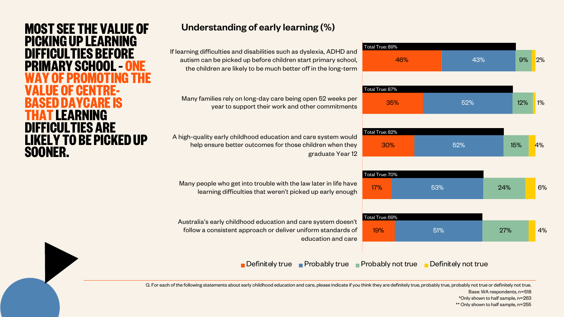# **MOST SEE THE VALUE OF PICKING UP LEARNING DIFFICULTIES BEFORE PRIMARY SCHOOL – WAY OF PROMOTING THE VALUE OF CENTRE- BASED DAYCARE IS THAT LEARNING DIFFICULTIES ARE LIKELY TO BE PICKED UP SOONER.**

#### Understanding of early learning (%)

46% 35% 30% 17% 19% 43% 52% 52% 53% 51% 9% 12% 15% 24% 27% 2% 1% 4% 6% 4% If learning difficulties and disabilities such as dyslexia, ADHD and autism can be picked up before children start primary school, the children are likely to be much better off in the long-term Many families rely on long-day care being open 52 weeks per year to support their work and other commitments A high-quality early childhood education and care system would help ensure better outcomes for those children when they graduate Year 12 Many people who get into trouble with the law later in life have learning difficulties that weren't picked up early enough Australia's early childhood education and care system doesn't follow a consistent approach or deliver uniform standards of education and care Definitely true Probably true Probably not true Definitely not true Total True: 89% Total True: 87% Total True: 82% Total True: 70% Total True: 69%

Q. For each of the following statements about early childhood education and care, please indicate if you think they are definitely true, probably true, probably not true or definitely not true.

Base: WA respondents, n=518

\*Only shown to half sample, n=263

\*\* Only shown to half sample, n=255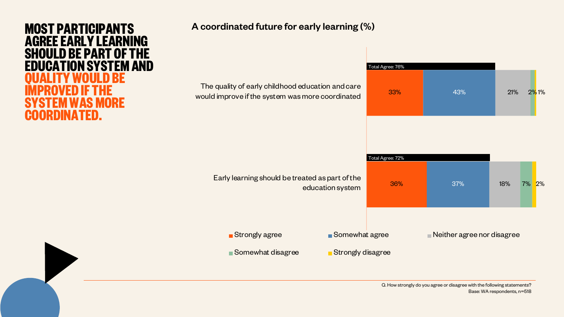

#### A coordinated future for early learning (%)

| The quality of early childhood education and care<br>would improve if the system was more coordinated | Total Agree: 76%<br>33%                   | 43% | 21% | <b>2%1%</b> |
|-------------------------------------------------------------------------------------------------------|-------------------------------------------|-----|-----|-------------|
| Early learning should be treated as part of the<br>education system                                   | Total Agree: 72%<br>36%                   | 37% | 18% | 2%<br>7%    |
| Strongly agree<br>Somewhat agree<br>Somewhat disagree<br>Strongly disagree                            | $\blacksquare$ Neither agree nor disagree |     |     |             |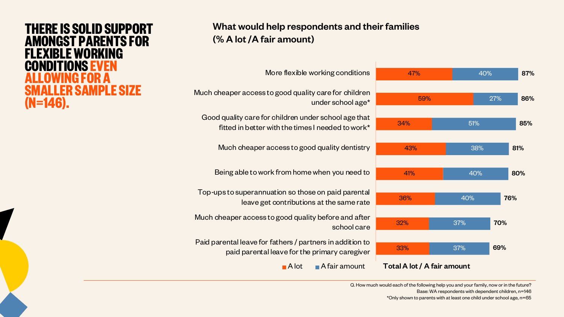### **THERE IS SOLID SUPPORT AMONGST PARENTS FOR KIRI F WORKING CONDITIONS EVEN ALLOWING FOR A SMALLER SAMPLE SIZE (N=146).**

#### What would help respondents and their families (% A lot /A fair amount)



Q. How much would each of the following help you and your family, now or in the future? Base: WA respondents with dependent children, n=146 \*Only shown to parents with at least one child under school age, n=65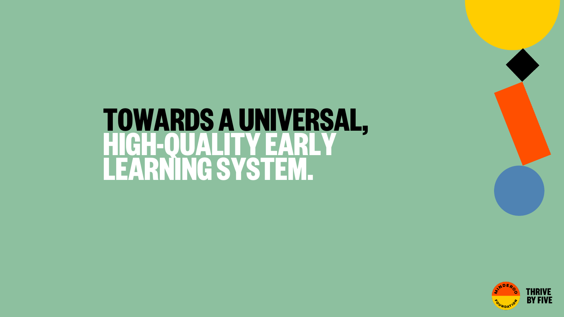# **TOWARDS A UNIVERSAL, HIGH-QUALITY EARLY LEARNING SYSTEM.**

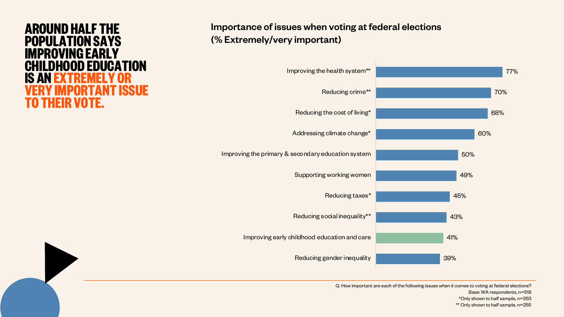## **AROUND HALF THE POPULATION SAYS IMPROVING EARLY CHILDHOOD EDUCATION IS AN EXTREMELY OR VERY IMPORTANT ISSUE TO THEIR VOTE.**

#### Importance of issues when voting at federal elections (% Extremely/very important)



Q. How important are each of the following issues when it comes to voting at federal elections? Base: WA respondents, n=518 \*Only shown to half sample, n=263 \*\* Only shown to half sample, n=255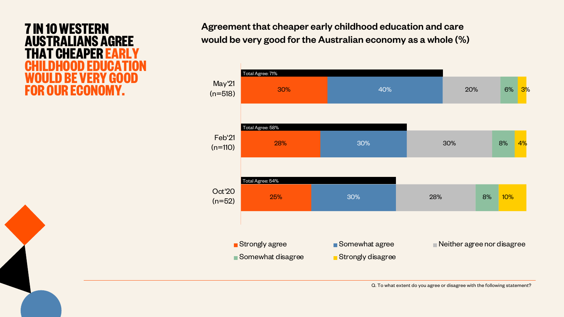## **7 IN 10 WESTERN AUSTRALIANS AGREE TEHEA CHILDHOOD EDUCATION WOULD BE VERY GOOD FOR OUR ECONOMY.**

Agreement that cheaper early childhood education and care would be very good for the Australian economy as a whole (%)

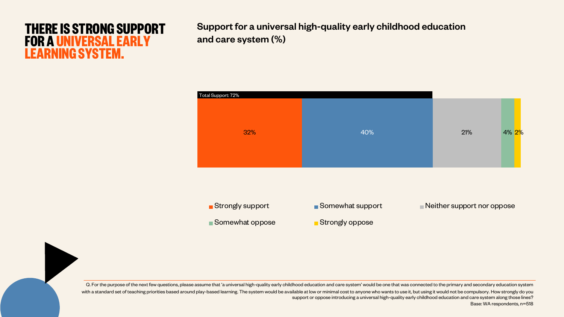## **THERE IS STRONG SUPPORT FOR A UNIVERSAL EARLY LEARNING SYSTEM.**

Support for a universal high-quality early childhood education and care system (%)



Q. For the purpose of the next few questions, please assume that 'a universal high-quality early childhood education and care system' would be one that was connected to the primary and secondary education system with a standard set of teaching priorities based around play-based learning. The system would be available at low or minimal cost to anyone who wants to use it, but using it would not be compulsory. How strongly do you support or oppose introducing a universal high-quality early childhood education and care system along those lines? Base: WA respondents, n=518